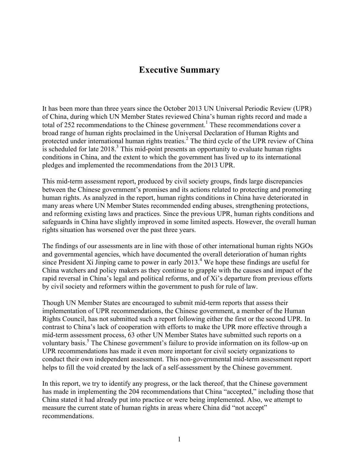# **Executive Summary**

It has been more than three years since the October 2013 UN Universal Periodic Review (UPR) of China, during which UN Member States reviewed China's human rights record and made a total of 252 recommendations to the Chinese government.<sup>1</sup> These recommendations cover a broad range of human rights proclaimed in the Universal Declaration of Human Rights and protected under international human rights treaties.<sup>2</sup> The third cycle of the UPR review of China is scheduled for late  $2018<sup>3</sup>$ . This mid-point presents an opportunity to evaluate human rights conditions in China, and the extent to which the government has lived up to its international pledges and implemented the recommendations from the 2013 UPR.

This mid-term assessment report, produced by civil society groups, finds large discrepancies between the Chinese government's promises and its actions related to protecting and promoting human rights. As analyzed in the report, human rights conditions in China have deteriorated in many areas where UN Member States recommended ending abuses, strengthening protections, and reforming existing laws and practices. Since the previous UPR, human rights conditions and safeguards in China have slightly improved in some limited aspects. However, the overall human rights situation has worsened over the past three years.

The findings of our assessments are in line with those of other international human rights NGOs and governmental agencies, which have documented the overall deterioration of human rights since President Xi Jinping came to power in early  $2013<sup>4</sup>$  We hope these findings are useful for China watchers and policy makers as they continue to grapple with the causes and impact of the rapid reversal in China's legal and political reforms, and of Xi's departure from previous efforts by civil society and reformers within the government to push for rule of law.

Though UN Member States are encouraged to submit mid-term reports that assess their implementation of UPR recommendations, the Chinese government, a member of the Human Rights Council, has not submitted such a report following either the first or the second UPR. In contrast to China's lack of cooperation with efforts to make the UPR more effective through a mid-term assessment process, 63 other UN Member States have submitted such reports on a voluntary basis.<sup>5</sup> The Chinese government's failure to provide information on its follow-up on UPR recommendations has made it even more important for civil society organizations to conduct their own independent assessment. This non-governmental mid-term assessment report helps to fill the void created by the lack of a self-assessment by the Chinese government.

In this report, we try to identify any progress, or the lack thereof, that the Chinese government has made in implementing the 204 recommendations that China "accepted," including those that China stated it had already put into practice or were being implemented. Also, we attempt to measure the current state of human rights in areas where China did "not accept" recommendations.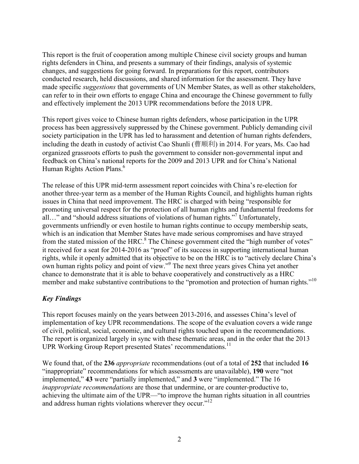This report is the fruit of cooperation among multiple Chinese civil society groups and human rights defenders in China, and presents a summary of their findings, analysis of systemic changes, and suggestions for going forward. In preparations for this report, contributors conducted research, held discussions, and shared information for the assessment. They have made specific *suggestions* that governments of UN Member States, as well as other stakeholders, can refer to in their own efforts to engage China and encourage the Chinese government to fully and effectively implement the 2013 UPR recommendations before the 2018 UPR.

This report gives voice to Chinese human rights defenders, whose participation in the UPR process has been aggressively suppressed by the Chinese government. Publicly demanding civil society participation in the UPR has led to harassment and detention of human rights defenders, including the death in custody of activist Cao Shunli (曹顺利) in 2014. For years, Ms. Cao had organized grassroots efforts to push the government to consider non-governmental input and feedback on China's national reports for the 2009 and 2013 UPR and for China's National Human Rights Action Plans.<sup>6</sup>

The release of this UPR mid-term assessment report coincides with China's re-election for another three-year term as a member of the Human Rights Council, and highlights human rights issues in China that need improvement. The HRC is charged with being "responsible for promoting universal respect for the protection of all human rights and fundamental freedoms for all…" and "should address situations of violations of human rights."<sup>7</sup> Unfortunately, governments unfriendly or even hostile to human rights continue to occupy membership seats, which is an indication that Member States have made serious compromises and have strayed from the stated mission of the HRC.<sup>8</sup> The Chinese government cited the "high number of votes" it received for a seat for 2014-2016 as "proof" of its success in supporting international human rights, while it openly admitted that its objective to be on the HRC is to "actively declare China's own human rights policy and point of view."<sup>9</sup> The next three years gives China yet another chance to demonstrate that it is able to behave cooperatively and constructively as a HRC member and make substantive contributions to the "promotion and protection of human rights."<sup>10</sup>

## *Key Findings*

This report focuses mainly on the years between 2013-2016, and assesses China's level of implementation of key UPR recommendations. The scope of the evaluation covers a wide range of civil, political, social, economic, and cultural rights touched upon in the recommendations. The report is organized largely in sync with these thematic areas, and in the order that the 2013 UPR Working Group Report presented States' recommendations.<sup>11</sup>

We found that, of the **236** *appropriate* recommendations (out of a total of **252** that included **16** "inappropriate" recommendations for which assessments are unavailable), **190** were "not implemented," **43** were "partially implemented," and **3** were "implemented." The 16 *inappropriate recommendations* are those that undermine, or are counter-productive to, achieving the ultimate aim of the UPR—"to improve the human rights situation in all countries and address human rights violations wherever they occur."<sup>12</sup>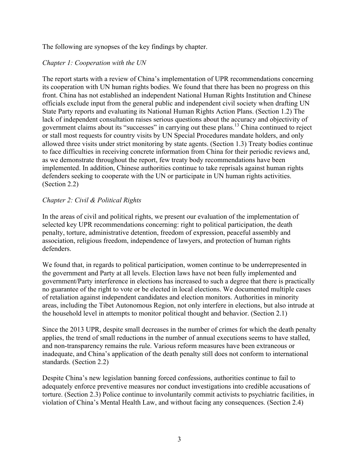The following are synopses of the key findings by chapter.

#### *Chapter 1: Cooperation with the UN*

The report starts with a review of China's implementation of UPR recommendations concerning its cooperation with UN human rights bodies. We found that there has been no progress on this front. China has not established an independent National Human Rights Institution and Chinese officials exclude input from the general public and independent civil society when drafting UN State Party reports and evaluating its National Human Rights Action Plans. (Section 1.2) The lack of independent consultation raises serious questions about the accuracy and objectivity of government claims about its "successes" in carrying out these plans.13 China continued to reject or stall most requests for country visits by UN Special Procedures mandate holders, and only allowed three visits under strict monitoring by state agents. (Section 1.3) Treaty bodies continue to face difficulties in receiving concrete information from China for their periodic reviews and, as we demonstrate throughout the report, few treaty body recommendations have been implemented. In addition, Chinese authorities continue to take reprisals against human rights defenders seeking to cooperate with the UN or participate in UN human rights activities. (Section 2.2)

#### *Chapter 2: Civil & Political Rights*

In the areas of civil and political rights, we present our evaluation of the implementation of selected key UPR recommendations concerning: right to political participation, the death penalty, torture, administrative detention, freedom of expression, peaceful assembly and association, religious freedom, independence of lawyers, and protection of human rights defenders.

We found that, in regards to political participation, women continue to be underrepresented in the government and Party at all levels. Election laws have not been fully implemented and government/Party interference in elections has increased to such a degree that there is practically no guarantee of the right to vote or be elected in local elections. We documented multiple cases of retaliation against independent candidates and election monitors. Authorities in minority areas, including the Tibet Autonomous Region, not only interfere in elections, but also intrude at the household level in attempts to monitor political thought and behavior. (Section 2.1)

Since the 2013 UPR, despite small decreases in the number of crimes for which the death penalty applies, the trend of small reductions in the number of annual executions seems to have stalled, and non-transparency remains the rule. Various reform measures have been extraneous or inadequate, and China's application of the death penalty still does not conform to international standards. (Section 2.2)

Despite China's new legislation banning forced confessions, authorities continue to fail to adequately enforce preventive measures nor conduct investigations into credible accusations of torture. (Section 2.3) Police continue to involuntarily commit activists to psychiatric facilities, in violation of China's Mental Health Law, and without facing any consequences. (Section 2.4)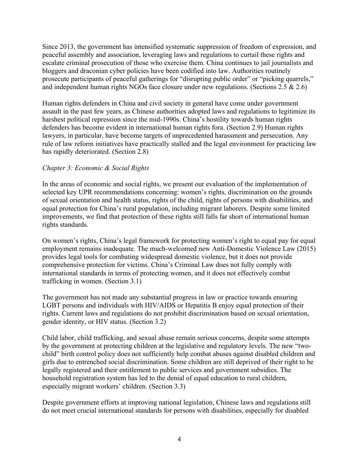Since 2013, the government has intensified systematic suppression of freedom of expression, and peaceful assembly and association, leveraging laws and regulations to curtail these rights and escalate criminal prosecution of those who exercise them. China continues to jail journalists and bloggers and draconian cyber policies have been codified into law. Authorities routinely prosecute participants of peaceful gatherings for "disrupting public order" or "picking quarrels," and independent human rights NGOs face closure under new regulations. (Sections 2.5 & 2.6)

Human rights defenders in China and civil society in general have come under government assault in the past few years, as Chinese authorities adopted laws and regulations to legitimize its harshest political repression since the mid-1990s. China's hostility towards human rights defenders has become evident in international human rights fora. (Section 2.9) Human rights lawyers, in particular, have become targets of unprecedented harassment and persecution. Any rule of law reform initiatives have practically stalled and the legal environment for practicing law has rapidly deteriorated. (Section 2.8)

### *Chapter 3: Economic & Social Rights*

In the areas of economic and social rights, we present our evaluation of the implementation of selected key UPR recommendations concerning: women's rights, discrimination on the grounds of sexual orientation and health status, rights of the child, rights of persons with disabilities, and equal protection for China's rural population, including migrant laborers. Despite some limited improvements, we find that protection of these rights still falls far short of international human rights standards.

On women's rights, China's legal framework for protecting women's right to equal pay for equal employment remains inadequate. The much-welcomed new Anti-Domestic Violence Law (2015) provides legal tools for combating widespread domestic violence, but it does not provide comprehensive protection for victims. China's Criminal Law does not fully comply with international standards in terms of protecting women, and it does not effectively combat trafficking in women. (Section 3.1)

The government has not made any substantial progress in law or practice towards ensuring LGBT persons and individuals with HIV/AIDS or Hepatitis B enjoy equal protection of their rights. Current laws and regulations do not prohibit discrimination based on sexual orientation, gender identity, or HIV status. (Section 3.2)

Child labor, child trafficking, and sexual abuse remain serious concerns, despite some attempts by the government at protecting children at the legislative and regulatory levels. The new "twochild" birth control policy does not sufficiently help combat abuses against disabled children and girls due to entrenched social discrimination. Some children are still deprived of their right to be legally registered and their entitlement to public services and government subsidies. The household registration system has led to the denial of equal education to rural children, especially migrant workers' children. (Section 3.3)

Despite government efforts at improving national legislation, Chinese laws and regulations still do not meet crucial international standards for persons with disabilities, especially for disabled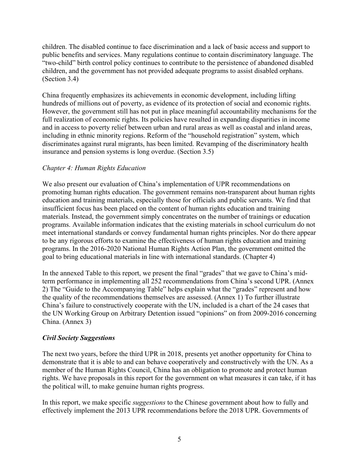children. The disabled continue to face discrimination and a lack of basic access and support to public benefits and services. Many regulations continue to contain discriminatory language. The "two-child" birth control policy continues to contribute to the persistence of abandoned disabled children, and the government has not provided adequate programs to assist disabled orphans. (Section 3.4)

China frequently emphasizes its achievements in economic development, including lifting hundreds of millions out of poverty, as evidence of its protection of social and economic rights. However, the government still has not put in place meaningful accountability mechanisms for the full realization of economic rights. Its policies have resulted in expanding disparities in income and in access to poverty relief between urban and rural areas as well as coastal and inland areas, including in ethnic minority regions. Reform of the "household registration" system, which discriminates against rural migrants, has been limited. Revamping of the discriminatory health insurance and pension systems is long overdue. (Section 3.5)

#### *Chapter 4: Human Rights Education*

We also present our evaluation of China's implementation of UPR recommendations on promoting human rights education. The government remains non-transparent about human rights education and training materials, especially those for officials and public servants. We find that insufficient focus has been placed on the content of human rights education and training materials. Instead, the government simply concentrates on the number of trainings or education programs. Available information indicates that the existing materials in school curriculum do not meet international standards or convey fundamental human rights principles. Nor do there appear to be any rigorous efforts to examine the effectiveness of human rights education and training programs. In the 2016-2020 National Human Rights Action Plan, the government omitted the goal to bring educational materials in line with international standards. (Chapter 4)

In the annexed Table to this report, we present the final "grades" that we gave to China's midterm performance in implementing all 252 recommendations from China's second UPR. (Annex 2) The "Guide to the Accompanying Table" helps explain what the "grades" represent and how the quality of the recommendations themselves are assessed. (Annex 1) To further illustrate China's failure to constructively cooperate with the UN, included is a chart of the 24 cases that the UN Working Group on Arbitrary Detention issued "opinions" on from 2009-2016 concerning China. (Annex 3)

#### *Civil Society Suggestions*

The next two years, before the third UPR in 2018, presents yet another opportunity for China to demonstrate that it is able to and can behave cooperatively and constructively with the UN. As a member of the Human Rights Council, China has an obligation to promote and protect human rights. We have proposals in this report for the government on what measures it can take, if it has the political will, to make genuine human rights progress.

In this report, we make specific *suggestions* to the Chinese government about how to fully and effectively implement the 2013 UPR recommendations before the 2018 UPR. Governments of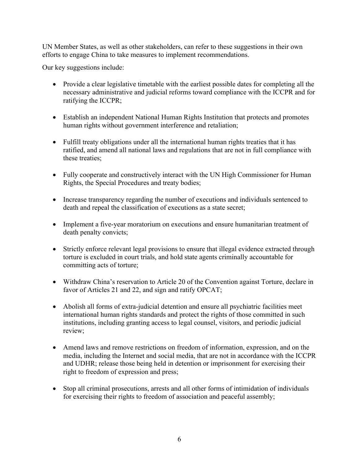UN Member States, as well as other stakeholders, can refer to these suggestions in their own efforts to engage China to take measures to implement recommendations.

Our key suggestions include:

- Provide a clear legislative timetable with the earliest possible dates for completing all the necessary administrative and judicial reforms toward compliance with the ICCPR and for ratifying the ICCPR;
- Establish an independent National Human Rights Institution that protects and promotes human rights without government interference and retaliation;
- Fulfill treaty obligations under all the international human rights treaties that it has ratified, and amend all national laws and regulations that are not in full compliance with these treaties;
- Fully cooperate and constructively interact with the UN High Commissioner for Human Rights, the Special Procedures and treaty bodies;
- Increase transparency regarding the number of executions and individuals sentenced to death and repeal the classification of executions as a state secret;
- Implement a five-year moratorium on executions and ensure humanitarian treatment of death penalty convicts;
- Strictly enforce relevant legal provisions to ensure that illegal evidence extracted through torture is excluded in court trials, and hold state agents criminally accountable for committing acts of torture;
- Withdraw China's reservation to Article 20 of the Convention against Torture, declare in favor of Articles 21 and 22, and sign and ratify OPCAT;
- Abolish all forms of extra-judicial detention and ensure all psychiatric facilities meet international human rights standards and protect the rights of those committed in such institutions, including granting access to legal counsel, visitors, and periodic judicial review;
- Amend laws and remove restrictions on freedom of information, expression, and on the media, including the Internet and social media, that are not in accordance with the ICCPR and UDHR; release those being held in detention or imprisonment for exercising their right to freedom of expression and press;
- Stop all criminal prosecutions, arrests and all other forms of intimidation of individuals for exercising their rights to freedom of association and peaceful assembly;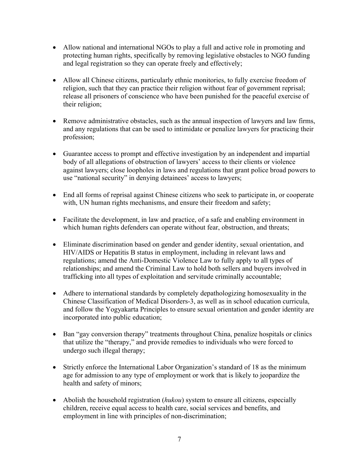- Allow national and international NGOs to play a full and active role in promoting and protecting human rights, specifically by removing legislative obstacles to NGO funding and legal registration so they can operate freely and effectively;
- Allow all Chinese citizens, particularly ethnic monitories, to fully exercise freedom of religion, such that they can practice their religion without fear of government reprisal; release all prisoners of conscience who have been punished for the peaceful exercise of their religion;
- Remove administrative obstacles, such as the annual inspection of lawyers and law firms, and any regulations that can be used to intimidate or penalize lawyers for practicing their profession;
- Guarantee access to prompt and effective investigation by an independent and impartial body of all allegations of obstruction of lawyers' access to their clients or violence against lawyers; close loopholes in laws and regulations that grant police broad powers to use "national security" in denying detainees' access to lawyers;
- End all forms of reprisal against Chinese citizens who seek to participate in, or cooperate with, UN human rights mechanisms, and ensure their freedom and safety;
- Facilitate the development, in law and practice, of a safe and enabling environment in which human rights defenders can operate without fear, obstruction, and threats;
- Eliminate discrimination based on gender and gender identity, sexual orientation, and HIV/AIDS or Hepatitis B status in employment, including in relevant laws and regulations; amend the Anti-Domestic Violence Law to fully apply to all types of relationships; and amend the Criminal Law to hold both sellers and buyers involved in trafficking into all types of exploitation and servitude criminally accountable;
- Adhere to international standards by completely depathologizing homosexuality in the Chinese Classification of Medical Disorders-3, as well as in school education curricula, and follow the Yogyakarta Principles to ensure sexual orientation and gender identity are incorporated into public education;
- Ban "gay conversion therapy" treatments throughout China, penalize hospitals or clinics that utilize the "therapy," and provide remedies to individuals who were forced to undergo such illegal therapy;
- Strictly enforce the International Labor Organization's standard of 18 as the minimum age for admission to any type of employment or work that is likely to jeopardize the health and safety of minors;
- Abolish the household registration *(hukou)* system to ensure all citizens, especially children, receive equal access to health care, social services and benefits, and employment in line with principles of non-discrimination;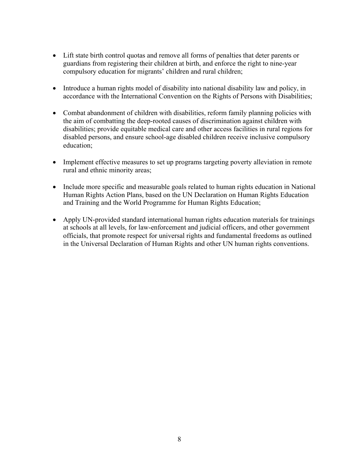- Lift state birth control quotas and remove all forms of penalties that deter parents or guardians from registering their children at birth, and enforce the right to nine-year compulsory education for migrants' children and rural children;
- Introduce a human rights model of disability into national disability law and policy, in accordance with the International Convention on the Rights of Persons with Disabilities;
- Combat abandonment of children with disabilities, reform family planning policies with the aim of combatting the deep-rooted causes of discrimination against children with disabilities; provide equitable medical care and other access facilities in rural regions for disabled persons, and ensure school-age disabled children receive inclusive compulsory education;
- Implement effective measures to set up programs targeting poverty alleviation in remote rural and ethnic minority areas;
- Include more specific and measurable goals related to human rights education in National Human Rights Action Plans, based on the UN Declaration on Human Rights Education and Training and the World Programme for Human Rights Education;
- Apply UN-provided standard international human rights education materials for trainings at schools at all levels, for law-enforcement and judicial officers, and other government officials, that promote respect for universal rights and fundamental freedoms as outlined in the Universal Declaration of Human Rights and other UN human rights conventions.